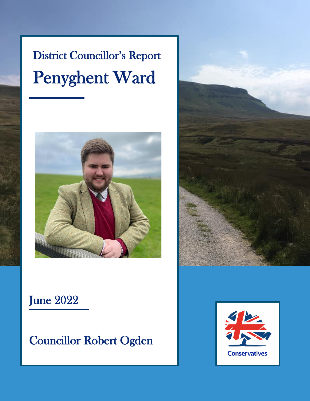# District Councillor's Report Penyghent Ward





### June 2022

Councillor Robert Ogden

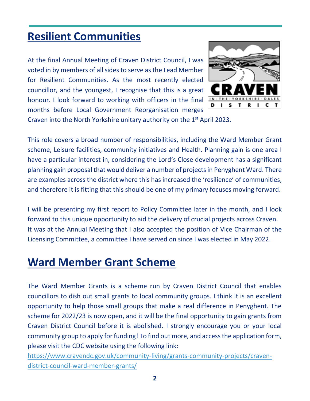#### **Resilient Communities**

At the final Annual Meeting of Craven District Council, I was voted in by members of all sides to serve as the Lead Member for Resilient Communities. As the most recently elected councillor, and the youngest, I recognise that this is a great honour. I look forward to working with officers in the final months before Local Government Reorganisation merges



Craven into the North Yorkshire unitary authority on the  $1<sup>st</sup>$  April 2023.

This role covers a broad number of responsibilities, including the Ward Member Grant scheme, Leisure facilities, community initiatives and Health. Planning gain is one area I have a particular interest in, considering the Lord's Close development has a significant planning gain proposal that would deliver a number of projects in Penyghent Ward. There are examples across the district where this has increased the 'resilience' of communities, and therefore it is fitting that this should be one of my primary focuses moving forward.

I will be presenting my first report to Policy Committee later in the month, and I look forward to this unique opportunity to aid the delivery of crucial projects across Craven. It was at the Annual Meeting that I also accepted the position of Vice Chairman of the Licensing Committee, a committee I have served on since I was elected in May 2022.

#### **Ward Member Grant Scheme**

The Ward Member Grants is a scheme run by Craven District Council that enables councillors to dish out small grants to local community groups. I think it is an excellent opportunity to help those small groups that make a real difference in Penyghent. The scheme for 2022/23 is now open, and it will be the final opportunity to gain grants from Craven District Council before it is abolished. I strongly encourage you or your local community group to apply for funding! To find out more, and access the application form, please visit the CDC website using the following link:

[https://www.cravendc.gov.uk/community-living/grants-community-projects/craven](https://www.cravendc.gov.uk/community-living/grants-community-projects/craven-district-council-ward-member-grants/)[district-council-ward-member-grants/](https://www.cravendc.gov.uk/community-living/grants-community-projects/craven-district-council-ward-member-grants/)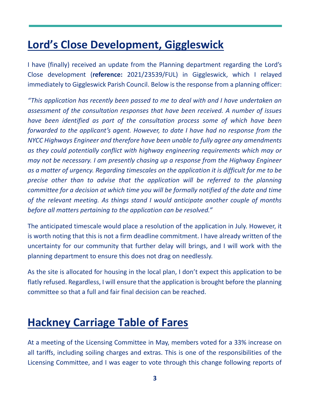### **Lord's Close Development, Giggleswick**

I have (finally) received an update from the Planning department regarding the Lord's Close development (**reference:** 2021/23539/FUL) in Giggleswick, which I relayed immediately to Giggleswick Parish Council. Below is the response from a planning officer:

*"This application has recently been passed to me to deal with and I have undertaken an assessment of the consultation responses that have been received. A number of issues have been identified as part of the consultation process some of which have been forwarded to the applicant's agent. However, to date I have had no response from the NYCC Highways Engineer and therefore have been unable to fully agree any amendments as they could potentially conflict with highway engineering requirements which may or may not be necessary. I am presently chasing up a response from the Highway Engineer as a matter of urgency. Regarding timescales on the application it is difficult for me to be precise other than to advise that the application will be referred to the planning committee for a decision at which time you will be formally notified of the date and time of the relevant meeting. As things stand I would anticipate another couple of months before all matters pertaining to the application can be resolved."*

The anticipated timescale would place a resolution of the application in July. However, it is worth noting that this is not a firm deadline commitment. I have already written of the uncertainty for our community that further delay will brings, and I will work with the planning department to ensure this does not drag on needlessly.

As the site is allocated for housing in the local plan, I don't expect this application to be flatly refused. Regardless, I will ensure that the application is brought before the planning committee so that a full and fair final decision can be reached.

#### **Hackney Carriage Table of Fares**

At a meeting of the Licensing Committee in May, members voted for a 33% increase on all tariffs, including soiling charges and extras. This is one of the responsibilities of the Licensing Committee, and I was eager to vote through this change following reports of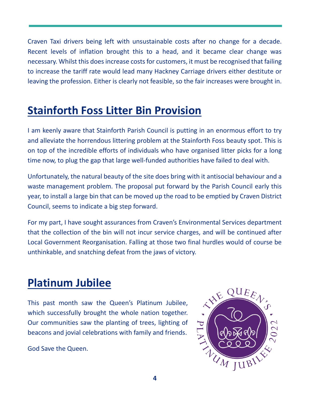Craven Taxi drivers being left with unsustainable costs after no change for a decade. Recent levels of inflation brought this to a head, and it became clear change was necessary. Whilst this does increase costs for customers, it must be recognised that failing to increase the tariff rate would lead many Hackney Carriage drivers either destitute or leaving the profession. Either is clearly not feasible, so the fair increases were brought in.

#### **Stainforth Foss Litter Bin Provision**

I am keenly aware that Stainforth Parish Council is putting in an enormous effort to try and alleviate the horrendous littering problem at the Stainforth Foss beauty spot. This is on top of the incredible efforts of individuals who have organised litter picks for a long time now, to plug the gap that large well-funded authorities have failed to deal with.

Unfortunately, the natural beauty of the site does bring with it antisocial behaviour and a waste management problem. The proposal put forward by the Parish Council early this year, to install a large bin that can be moved up the road to be emptied by Craven District Council, seems to indicate a big step forward.

For my part, I have sought assurances from Craven's Environmental Services department that the collection of the bin will not incur service charges, and will be continued after Local Government Reorganisation. Falling at those two final hurdles would of course be unthinkable, and snatching defeat from the jaws of victory.

## **Platinum Jubilee**

This past month saw the Queen's Platinum Jubilee, which successfully brought the whole nation together. Our communities saw the planting of trees, lighting of beacons and jovial celebrations with family and friends.

God Save the Queen.